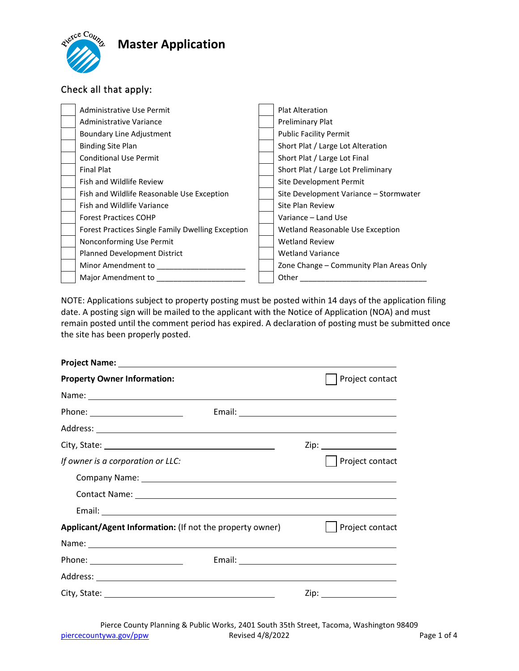# **Master Application**



### Check all that apply:

| Administrative Use Permit                         | <b>Plat Alteration</b>                  |
|---------------------------------------------------|-----------------------------------------|
| Administrative Variance                           | Preliminary Plat                        |
| Boundary Line Adjustment                          | <b>Public Facility Permit</b>           |
| <b>Binding Site Plan</b>                          | Short Plat / Large Lot Alteration       |
| <b>Conditional Use Permit</b>                     | Short Plat / Large Lot Final            |
| <b>Final Plat</b>                                 | Short Plat / Large Lot Preliminary      |
| Fish and Wildlife Review                          | Site Development Permit                 |
| Fish and Wildlife Reasonable Use Exception        | Site Development Variance - Stormwater  |
| Fish and Wildlife Variance                        | Site Plan Review                        |
| <b>Forest Practices COHP</b>                      | Variance - Land Use                     |
| Forest Practices Single Family Dwelling Exception | Wetland Reasonable Use Exception        |
| Nonconforming Use Permit                          | <b>Wetland Review</b>                   |
| Planned Development District                      | <b>Wetland Variance</b>                 |
| Minor Amendment to                                | Zone Change – Community Plan Areas Only |
| Major Amendment to                                | Other                                   |

NOTE: Applications subject to property posting must be posted within 14 days of the application filing date. A posting sign will be mailed to the applicant with the Notice of Application (NOA) and must remain posted until the comment period has expired. A declaration of posting must be submitted once the site has been properly posted.

| <b>Property Owner Information:</b>                       |  |  | Project contact           |
|----------------------------------------------------------|--|--|---------------------------|
|                                                          |  |  |                           |
| Phone: _________________________                         |  |  |                           |
|                                                          |  |  |                           |
|                                                          |  |  |                           |
| If owner is a corporation or LLC:                        |  |  | Project contact           |
|                                                          |  |  |                           |
|                                                          |  |  |                           |
|                                                          |  |  |                           |
| Applicant/Agent Information: (If not the property owner) |  |  | Project contact           |
|                                                          |  |  |                           |
| Phone: ________________________                          |  |  |                           |
|                                                          |  |  |                           |
|                                                          |  |  | Zip: ____________________ |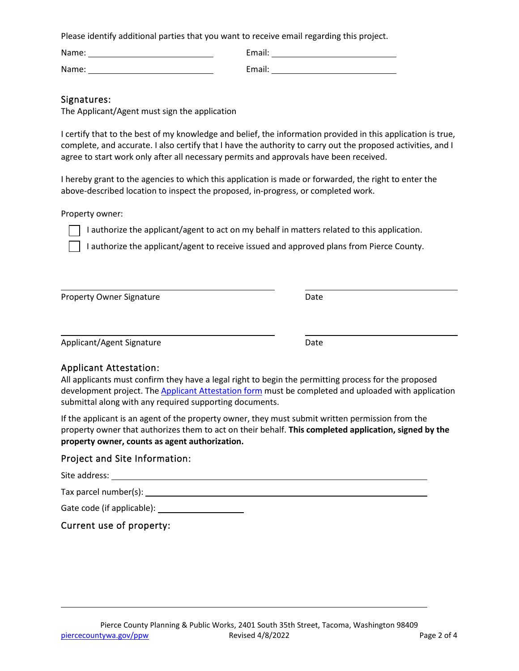Please identify additional parties that you want to receive email regarding this project.

Name: Called a Communication of the Email:

Name: Email:

| Email:         |  |  |
|----------------|--|--|
|                |  |  |
| $\bullet$<br>- |  |  |

### Signatures:

The Applicant/Agent must sign the application

I certify that to the best of my knowledge and belief, the information provided in this application is true, complete, and accurate. I also certify that I have the authority to carry out the proposed activities, and I agree to start work only after all necessary permits and approvals have been received.

I hereby grant to the agencies to which this application is made or forwarded, the right to enter the above-described location to inspect the proposed, in-progress, or completed work.

Property owner:

 $\overline{a}$ 

 $\overline{\phantom{a}}$ 

I authorize the applicant/agent to act on my behalf in matters related to this application.

I authorize the applicant/agent to receive issued and approved plans from Pierce County.

Property Owner Signature **Date** Date

Applicant/Agent Signature Date

## Applicant Attestation:

All applicants must confirm they have a legal right to begin the permitting process for the proposed development project. The **Applicant [Attestation](https://www.cognitoforms.com/PierceCountyPlanningPublicWorks/ApplicantAttestation?v2) form** must be completed and uploaded with application submittal along with any required supporting documents.

If the applicant is an agent of the property owner, they must submit written permission from the property owner that authorizes them to act on their behalf. **This completed application, signed by the property owner, counts as agent authorization.**

### Project and Site Information:

Site address:

L

Tax parcel number(s):

Gate code (if applicable):

Current use of property: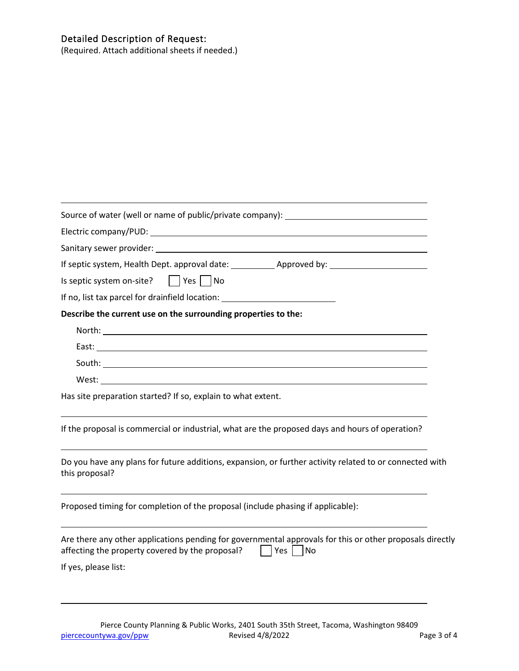#### Detailed Description of Request:

(Required. Attach additional sheets if needed.)

| Source of water (well or name of public/private company): ______________________                                                                                                           |
|--------------------------------------------------------------------------------------------------------------------------------------------------------------------------------------------|
|                                                                                                                                                                                            |
|                                                                                                                                                                                            |
|                                                                                                                                                                                            |
| Is septic system on-site? $ $   Yes $ $ No                                                                                                                                                 |
|                                                                                                                                                                                            |
| Describe the current use on the surrounding properties to the:                                                                                                                             |
|                                                                                                                                                                                            |
|                                                                                                                                                                                            |
|                                                                                                                                                                                            |
|                                                                                                                                                                                            |
| Has site preparation started? If so, explain to what extent.                                                                                                                               |
| If the proposal is commercial or industrial, what are the proposed days and hours of operation?                                                                                            |
| Do you have any plans for future additions, expansion, or further activity related to or connected with<br>this proposal?                                                                  |
| Proposed timing for completion of the proposal (include phasing if applicable):                                                                                                            |
| Are there any other applications pending for governmental approvals for this or other proposals directly<br>affecting the property covered by the proposal?<br><b>Contract</b><br>Yes   No |
| If yes, please list:                                                                                                                                                                       |
|                                                                                                                                                                                            |